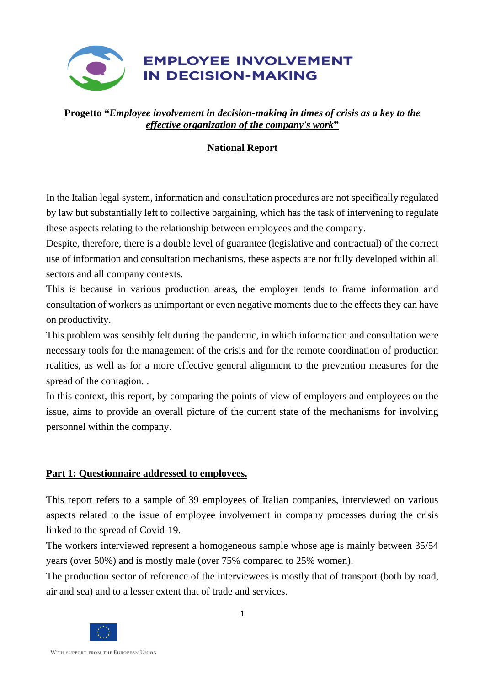

#### **Progetto "***Employee involvement in decision-making in times of crisis as a key to the effective organization of the company's work***"**

### **National Report**

In the Italian legal system, information and consultation procedures are not specifically regulated by law but substantially left to collective bargaining, which has the task of intervening to regulate these aspects relating to the relationship between employees and the company.

Despite, therefore, there is a double level of guarantee (legislative and contractual) of the correct use of information and consultation mechanisms, these aspects are not fully developed within all sectors and all company contexts.

This is because in various production areas, the employer tends to frame information and consultation of workers as unimportant or even negative moments due to the effects they can have on productivity.

This problem was sensibly felt during the pandemic, in which information and consultation were necessary tools for the management of the crisis and for the remote coordination of production realities, as well as for a more effective general alignment to the prevention measures for the spread of the contagion. .

In this context, this report, by comparing the points of view of employers and employees on the issue, aims to provide an overall picture of the current state of the mechanisms for involving personnel within the company.

#### **Part 1: Questionnaire addressed to employees.**

This report refers to a sample of 39 employees of Italian companies, interviewed on various aspects related to the issue of employee involvement in company processes during the crisis linked to the spread of Covid-19.

The workers interviewed represent a homogeneous sample whose age is mainly between 35/54 years (over 50%) and is mostly male (over 75% compared to 25% women).

The production sector of reference of the interviewees is mostly that of transport (both by road, air and sea) and to a lesser extent that of trade and services.

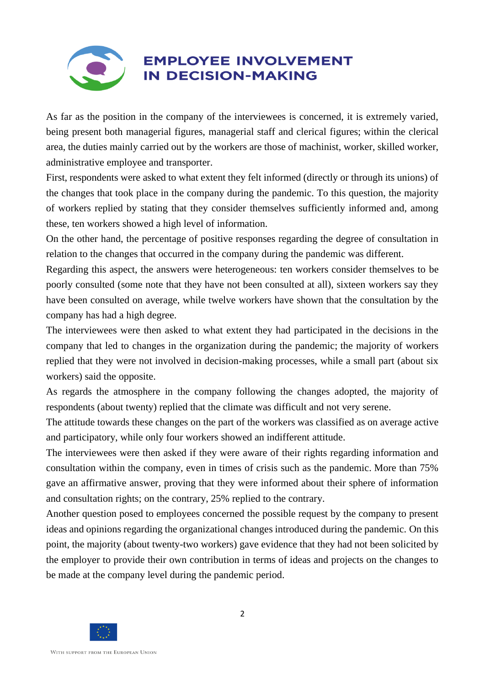# **EMPLOYEE INVOLVEMENT IN DECISION-MAKING**

As far as the position in the company of the interviewees is concerned, it is extremely varied, being present both managerial figures, managerial staff and clerical figures; within the clerical area, the duties mainly carried out by the workers are those of machinist, worker, skilled worker, administrative employee and transporter.

First, respondents were asked to what extent they felt informed (directly or through its unions) of the changes that took place in the company during the pandemic. To this question, the majority of workers replied by stating that they consider themselves sufficiently informed and, among these, ten workers showed a high level of information.

On the other hand, the percentage of positive responses regarding the degree of consultation in relation to the changes that occurred in the company during the pandemic was different.

Regarding this aspect, the answers were heterogeneous: ten workers consider themselves to be poorly consulted (some note that they have not been consulted at all), sixteen workers say they have been consulted on average, while twelve workers have shown that the consultation by the company has had a high degree.

The interviewees were then asked to what extent they had participated in the decisions in the company that led to changes in the organization during the pandemic; the majority of workers replied that they were not involved in decision-making processes, while a small part (about six workers) said the opposite.

As regards the atmosphere in the company following the changes adopted, the majority of respondents (about twenty) replied that the climate was difficult and not very serene.

The attitude towards these changes on the part of the workers was classified as on average active and participatory, while only four workers showed an indifferent attitude.

The interviewees were then asked if they were aware of their rights regarding information and consultation within the company, even in times of crisis such as the pandemic. More than 75% gave an affirmative answer, proving that they were informed about their sphere of information and consultation rights; on the contrary, 25% replied to the contrary.

Another question posed to employees concerned the possible request by the company to present ideas and opinions regarding the organizational changes introduced during the pandemic. On this point, the majority (about twenty-two workers) gave evidence that they had not been solicited by the employer to provide their own contribution in terms of ideas and projects on the changes to be made at the company level during the pandemic period.

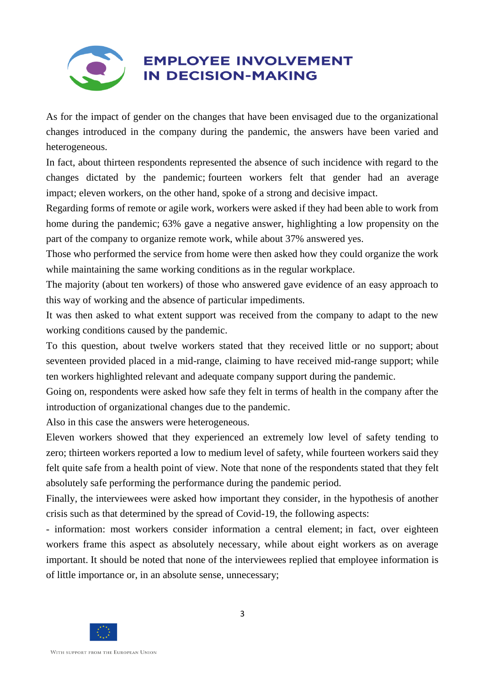

As for the impact of gender on the changes that have been envisaged due to the organizational changes introduced in the company during the pandemic, the answers have been varied and heterogeneous.

In fact, about thirteen respondents represented the absence of such incidence with regard to the changes dictated by the pandemic; fourteen workers felt that gender had an average impact; eleven workers, on the other hand, spoke of a strong and decisive impact.

Regarding forms of remote or agile work, workers were asked if they had been able to work from home during the pandemic; 63% gave a negative answer, highlighting a low propensity on the part of the company to organize remote work, while about 37% answered yes.

Those who performed the service from home were then asked how they could organize the work while maintaining the same working conditions as in the regular workplace.

The majority (about ten workers) of those who answered gave evidence of an easy approach to this way of working and the absence of particular impediments.

It was then asked to what extent support was received from the company to adapt to the new working conditions caused by the pandemic.

To this question, about twelve workers stated that they received little or no support; about seventeen provided placed in a mid-range, claiming to have received mid-range support; while ten workers highlighted relevant and adequate company support during the pandemic.

Going on, respondents were asked how safe they felt in terms of health in the company after the introduction of organizational changes due to the pandemic.

Also in this case the answers were heterogeneous.

Eleven workers showed that they experienced an extremely low level of safety tending to zero; thirteen workers reported a low to medium level of safety, while fourteen workers said they felt quite safe from a health point of view. Note that none of the respondents stated that they felt absolutely safe performing the performance during the pandemic period.

Finally, the interviewees were asked how important they consider, in the hypothesis of another crisis such as that determined by the spread of Covid-19, the following aspects:

- information: most workers consider information a central element; in fact, over eighteen workers frame this aspect as absolutely necessary, while about eight workers as on average important. It should be noted that none of the interviewees replied that employee information is of little importance or, in an absolute sense, unnecessary;

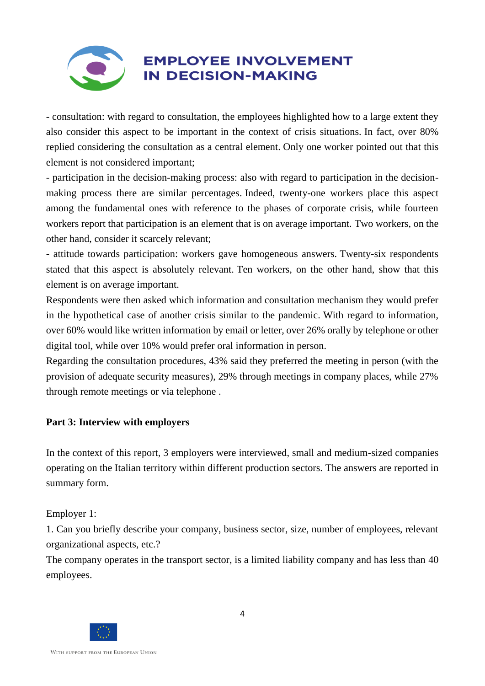

- consultation: with regard to consultation, the employees highlighted how to a large extent they also consider this aspect to be important in the context of crisis situations. In fact, over 80% replied considering the consultation as a central element. Only one worker pointed out that this element is not considered important;

- participation in the decision-making process: also with regard to participation in the decisionmaking process there are similar percentages. Indeed, twenty-one workers place this aspect among the fundamental ones with reference to the phases of corporate crisis, while fourteen workers report that participation is an element that is on average important. Two workers, on the other hand, consider it scarcely relevant;

- attitude towards participation: workers gave homogeneous answers. Twenty-six respondents stated that this aspect is absolutely relevant. Ten workers, on the other hand, show that this element is on average important.

Respondents were then asked which information and consultation mechanism they would prefer in the hypothetical case of another crisis similar to the pandemic. With regard to information, over 60% would like written information by email or letter, over 26% orally by telephone or other digital tool, while over 10% would prefer oral information in person.

Regarding the consultation procedures, 43% said they preferred the meeting in person (with the provision of adequate security measures), 29% through meetings in company places, while 27% through remote meetings or via telephone .

#### **Part 3: Interview with employers**

In the context of this report, 3 employers were interviewed, small and medium-sized companies operating on the Italian territory within different production sectors. The answers are reported in summary form.

Employer 1:

1. Can you briefly describe your company, business sector, size, number of employees, relevant organizational aspects, etc.?

The company operates in the transport sector, is a limited liability company and has less than 40 employees.

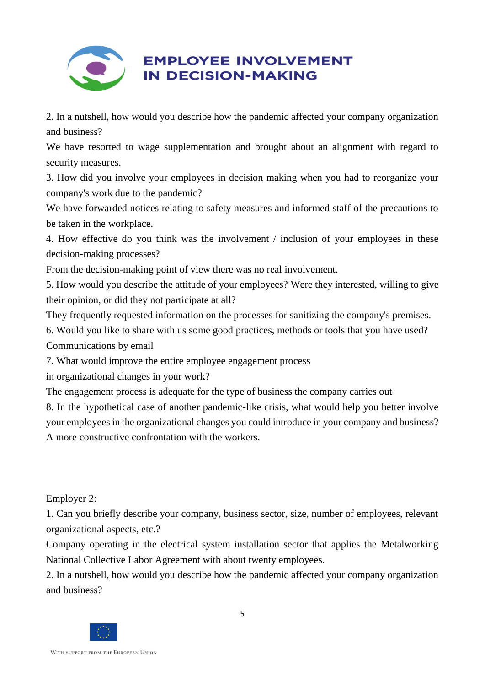

## **EMPLOYEE INVOLVEMENT IN DECISION-MAKING**

2. In a nutshell, how would you describe how the pandemic affected your company organization and business?

We have resorted to wage supplementation and brought about an alignment with regard to security measures.

3. How did you involve your employees in decision making when you had to reorganize your company's work due to the pandemic?

We have forwarded notices relating to safety measures and informed staff of the precautions to be taken in the workplace.

4. How effective do you think was the involvement / inclusion of your employees in these decision-making processes?

From the decision-making point of view there was no real involvement.

5. How would you describe the attitude of your employees? Were they interested, willing to give their opinion, or did they not participate at all?

They frequently requested information on the processes for sanitizing the company's premises.

6. Would you like to share with us some good practices, methods or tools that you have used? Communications by email

7. What would improve the entire employee engagement process

in organizational changes in your work?

The engagement process is adequate for the type of business the company carries out

8. In the hypothetical case of another pandemic-like crisis, what would help you better involve your employees in the organizational changes you could introduce in your company and business? A more constructive confrontation with the workers.

Employer 2:

1. Can you briefly describe your company, business sector, size, number of employees, relevant organizational aspects, etc.?

Company operating in the electrical system installation sector that applies the Metalworking National Collective Labor Agreement with about twenty employees.

2. In a nutshell, how would you describe how the pandemic affected your company organization and business?

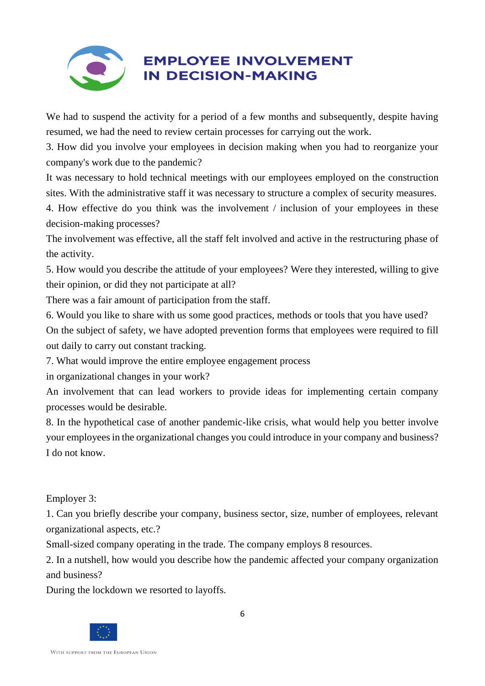

## **EMPLOYEE INVOLVEMENT IN DECISION-MAKING**

We had to suspend the activity for a period of a few months and subsequently, despite having resumed, we had the need to review certain processes for carrying out the work.

3. How did you involve your employees in decision making when you had to reorganize your company's work due to the pandemic?

It was necessary to hold technical meetings with our employees employed on the construction sites. With the administrative staff it was necessary to structure a complex of security measures.

4. How effective do you think was the involvement / inclusion of your employees in these decision-making processes?

The involvement was effective, all the staff felt involved and active in the restructuring phase of the activity.

5. How would you describe the attitude of your employees? Were they interested, willing to give their opinion, or did they not participate at all?

There was a fair amount of participation from the staff.

6. Would you like to share with us some good practices, methods or tools that you have used? On the subject of safety, we have adopted prevention forms that employees were required to fill out daily to carry out constant tracking.

7. What would improve the entire employee engagement process

in organizational changes in your work?

An involvement that can lead workers to provide ideas for implementing certain company processes would be desirable.

8. In the hypothetical case of another pandemic-like crisis, what would help you better involve your employees in the organizational changes you could introduce in your company and business? I do not know.

Employer 3:

1. Can you briefly describe your company, business sector, size, number of employees, relevant organizational aspects, etc.?

Small-sized company operating in the trade. The company employs 8 resources.

2. In a nutshell, how would you describe how the pandemic affected your company organization and business?

During the lockdown we resorted to layoffs.

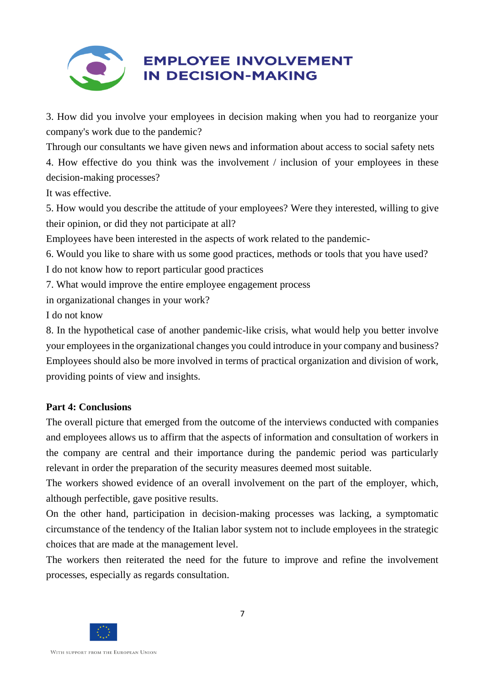

3. How did you involve your employees in decision making when you had to reorganize your company's work due to the pandemic?

Through our consultants we have given news and information about access to social safety nets 4. How effective do you think was the involvement / inclusion of your employees in these decision-making processes?

It was effective.

5. How would you describe the attitude of your employees? Were they interested, willing to give their opinion, or did they not participate at all?

Employees have been interested in the aspects of work related to the pandemic-

6. Would you like to share with us some good practices, methods or tools that you have used?

I do not know how to report particular good practices

7. What would improve the entire employee engagement process

in organizational changes in your work?

I do not know

8. In the hypothetical case of another pandemic-like crisis, what would help you better involve your employees in the organizational changes you could introduce in your company and business? Employees should also be more involved in terms of practical organization and division of work, providing points of view and insights.

#### **Part 4: Conclusions**

The overall picture that emerged from the outcome of the interviews conducted with companies and employees allows us to affirm that the aspects of information and consultation of workers in the company are central and their importance during the pandemic period was particularly relevant in order the preparation of the security measures deemed most suitable.

The workers showed evidence of an overall involvement on the part of the employer, which, although perfectible, gave positive results.

On the other hand, participation in decision-making processes was lacking, a symptomatic circumstance of the tendency of the Italian labor system not to include employees in the strategic choices that are made at the management level.

The workers then reiterated the need for the future to improve and refine the involvement processes, especially as regards consultation.